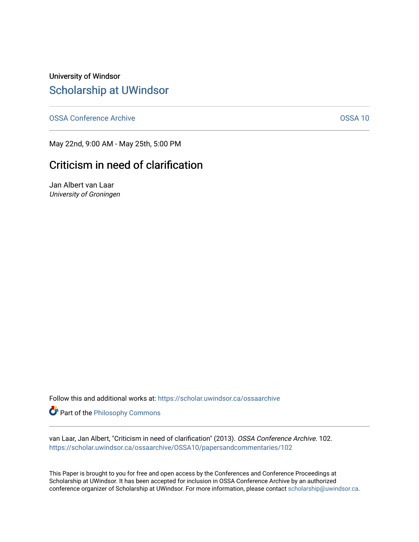University of Windsor [Scholarship at UWindsor](https://scholar.uwindsor.ca/) 

[OSSA Conference Archive](https://scholar.uwindsor.ca/ossaarchive) **OSSA 10** 

May 22nd, 9:00 AM - May 25th, 5:00 PM

## Criticism in need of clarification

Jan Albert van Laar University of Groningen

Follow this and additional works at: [https://scholar.uwindsor.ca/ossaarchive](https://scholar.uwindsor.ca/ossaarchive?utm_source=scholar.uwindsor.ca%2Fossaarchive%2FOSSA10%2Fpapersandcommentaries%2F102&utm_medium=PDF&utm_campaign=PDFCoverPages)

Part of the [Philosophy Commons](http://network.bepress.com/hgg/discipline/525?utm_source=scholar.uwindsor.ca%2Fossaarchive%2FOSSA10%2Fpapersandcommentaries%2F102&utm_medium=PDF&utm_campaign=PDFCoverPages) 

van Laar, Jan Albert, "Criticism in need of clarification" (2013). OSSA Conference Archive. 102. [https://scholar.uwindsor.ca/ossaarchive/OSSA10/papersandcommentaries/102](https://scholar.uwindsor.ca/ossaarchive/OSSA10/papersandcommentaries/102?utm_source=scholar.uwindsor.ca%2Fossaarchive%2FOSSA10%2Fpapersandcommentaries%2F102&utm_medium=PDF&utm_campaign=PDFCoverPages)

This Paper is brought to you for free and open access by the Conferences and Conference Proceedings at Scholarship at UWindsor. It has been accepted for inclusion in OSSA Conference Archive by an authorized conference organizer of Scholarship at UWindsor. For more information, please contact [scholarship@uwindsor.ca.](mailto:scholarship@uwindsor.ca)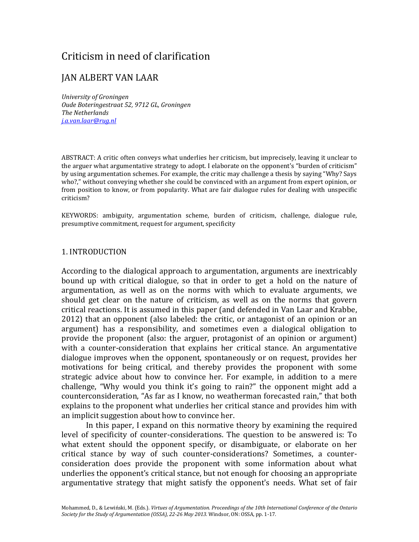# Criticism in need of clarification

## JAN ALBERT VAN LAAR

*University of Groningen Oude Boteringestraat 52, 9712 GL, Groningen The Netherlands [j.a.van.laar@rug.nl](mailto:j.a.van.laar@rug.nl)*

ABSTRACT: A critic often conveys what underlies her criticism, but imprecisely, leaving it unclear to the arguer what argumentative strategy to adopt. I elaborate on the opponent's "burden of criticism" by using argumentation schemes. For example, the critic may challenge a thesis by saying "Why? Says who?," without conveying whether she could be convinced with an argument from expert opinion, or from position to know, or from popularity. What are fair dialogue rules for dealing with unspecific criticism?

KEYWORDS: ambiguity, argumentation scheme, burden of criticism, challenge, dialogue rule, presumptive commitment, request for argument, specificity

#### 1. INTRODUCTION

According to the dialogical approach to argumentation, arguments are inextricably bound up with critical dialogue, so that in order to get a hold on the nature of argumentation, as well as on the norms with which to evaluate arguments, we should get clear on the nature of criticism, as well as on the norms that govern critical reactions. It is assumed in this paper (and defended in Van Laar and Krabbe, 2012) that an opponent (also labeled: the critic, or antagonist of an opinion or an argument) has a responsibility, and sometimes even a dialogical obligation to provide the proponent (also: the arguer, protagonist of an opinion or argument) with a counter-consideration that explains her critical stance. An argumentative dialogue improves when the opponent, spontaneously or on request, provides her motivations for being critical, and thereby provides the proponent with some strategic advice about how to convince her. For example, in addition to a mere challenge, "Why would you think it's going to rain?" the opponent might add a counterconsideration, "As far as I know, no weatherman forecasted rain," that both explains to the proponent what underlies her critical stance and provides him with an implicit suggestion about how to convince her.

In this paper, I expand on this normative theory by examining the required level of specificity of counter-considerations. The question to be answered is: To what extent should the opponent specify, or disambiguate, or elaborate on her critical stance by way of such counter-considerations? Sometimes, a counterconsideration does provide the proponent with some information about what underlies the opponent's critical stance, but not enough for choosing an appropriate argumentative strategy that might satisfy the opponent's needs. What set of fair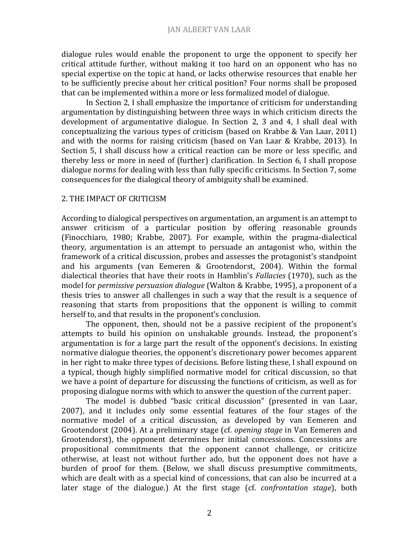dialogue rules would enable the proponent to urge the opponent to specify her critical attitude further, without making it too hard on an opponent who has no special expertise on the topic at hand, or lacks otherwise resources that enable her to be sufficiently precise about her critical position? Four norms shall be proposed that can be implemented within a more or less formalized model of dialogue.

In Section 2, I shall emphasize the importance of criticism for understanding argumentation by distinguishing between three ways in which criticism directs the development of argumentative dialogue. In Section 2, 3 and 4, I shall deal with conceptualizing the various types of criticism (based on Krabbe & Van Laar, 2011) and with the norms for raising criticism (based on Van Laar & Krabbe, 2013). In Section 5, I shall discuss how a critical reaction can be more or less specific, and thereby less or more in need of (further) clarification. In Section 6, I shall propose dialogue norms for dealing with less than fully specific criticisms. In Section 7, some consequences for the dialogical theory of ambiguity shall be examined.

#### 2. THE IMPACT OF CRITICISM

According to dialogical perspectives on argumentation, an argument is an attempt to answer criticism of a particular position by offering reasonable grounds (Finocchiaro, 1980; Krabbe, 2007). For example, within the pragma-dialectical theory, argumentation is an attempt to persuade an antagonist who, within the framework of a critical discussion, probes and assesses the protagonist's standpoint and his arguments (van Eemeren & Grootendorst, 2004). Within the formal dialectical theories that have their roots in Hamblin's *Fallacies* (1970), such as the model for *permissive persuasion dialogue* (Walton & Krabbe, 1995), a proponent of a thesis tries to answer all challenges in such a way that the result is a sequence of reasoning that starts from propositions that the opponent is willing to commit herself to, and that results in the proponent's conclusion.

The opponent, then, should not be a passive recipient of the proponent's attempts to build his opinion on unshakable grounds. Instead, the proponent's argumentation is for a large part the result of the opponent's decisions. In existing normative dialogue theories, the opponent's discretionary power becomes apparent in her right to make three types of decisions. Before listing these, I shall expound on a typical, though highly simplified normative model for critical discussion, so that we have a point of departure for discussing the functions of criticism, as well as for proposing dialogue norms with which to answer the question of the current paper.

The model is dubbed "basic critical discussion" (presented in van Laar, 2007), and it includes only some essential features of the four stages of the normative model of a critical discussion, as developed by van Eemeren and Grootendorst (2004). At a preliminary stage (cf. *opening stage* in Van Eemeren and Grootendorst), the opponent determines her initial concessions. Concessions are propositional commitments that the opponent cannot challenge, or criticize otherwise, at least not without further ado, but the opponent does not have a burden of proof for them. (Below, we shall discuss presumptive commitments, which are dealt with as a special kind of concessions, that can also be incurred at a later stage of the dialogue.) At the first stage (cf. *confrontation stage*), both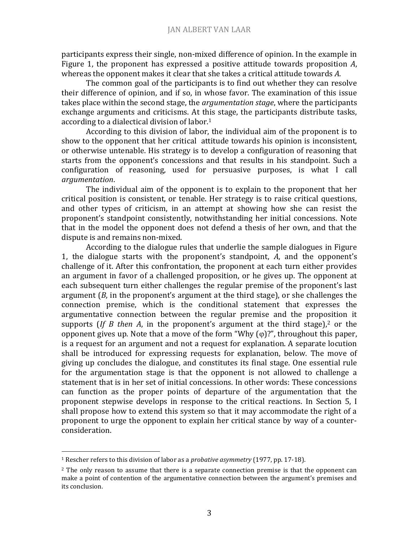participants express their single, non-mixed difference of opinion. In the example in Figure 1, the proponent has expressed a positive attitude towards proposition *A*, whereas the opponent makes it clear that she takes a critical attitude towards *A*.

The common goal of the participants is to find out whether they can resolve their difference of opinion, and if so, in whose favor. The examination of this issue takes place within the second stage, the *argumentation stage*, where the participants exchange arguments and criticisms. At this stage, the participants distribute tasks, according to a dialectical division of labor.<sup>1</sup>

According to this division of labor, the individual aim of the proponent is to show to the opponent that her critical attitude towards his opinion is inconsistent, or otherwise untenable. His strategy is to develop a configuration of reasoning that starts from the opponent's concessions and that results in his standpoint. Such a configuration of reasoning, used for persuasive purposes, is what I call *argumentation*.

The individual aim of the opponent is to explain to the proponent that her critical position is consistent, or tenable. Her strategy is to raise critical questions, and other types of criticism, in an attempt at showing how she can resist the proponent's standpoint consistently, notwithstanding her initial concessions. Note that in the model the opponent does not defend a thesis of her own, and that the dispute is and remains non-mixed.

According to the dialogue rules that underlie the sample dialogues in Figure 1, the dialogue starts with the proponent's standpoint, *A*, and the opponent's challenge of it. After this confrontation, the proponent at each turn either provides an argument in favor of a challenged proposition, or he gives up. The opponent at each subsequent turn either challenges the regular premise of the proponent's last argument (*B*, in the proponent's argument at the third stage), or she challenges the connection premise, which is the conditional statement that expresses the argumentative connection between the regular premise and the proposition it supports (*If B then A*, in the proponent's argument at the third stage),<sup>2</sup> or the opponent gives up. Note that a move of the form "Why  $(\varphi)$ ?", throughout this paper, is a request for an argument and not a request for explanation. A separate locution shall be introduced for expressing requests for explanation, below. The move of giving up concludes the dialogue, and constitutes its final stage. One essential rule for the argumentation stage is that the opponent is not allowed to challenge a statement that is in her set of initial concessions. In other words: These concessions can function as the proper points of departure of the argumentation that the proponent stepwise develops in response to the critical reactions. In Section 5, I shall propose how to extend this system so that it may accommodate the right of a proponent to urge the opponent to explain her critical stance by way of a counterconsideration.

 $\overline{\phantom{a}}$ 

<sup>1</sup> Rescher refers to this division of labor as a *probative asymmetry* (1977, pp. 17-18).

<sup>&</sup>lt;sup>2</sup> The only reason to assume that there is a separate connection premise is that the opponent can make a point of contention of the argumentative connection between the argument's premises and its conclusion.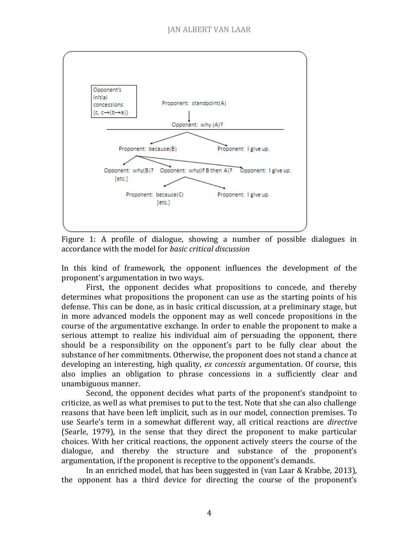

Figure 1: A profile of dialogue, showing a number of possible dialogues in accordance with the model for *basic critical discussion*

In this kind of framework, the opponent influences the development of the proponent's argumentation in two ways.

First, the opponent decides what propositions to concede, and thereby determines what propositions the proponent can use as the starting points of his defense. This can be done, as in basic critical discussion, at a preliminary stage, but in more advanced models the opponent may as well concede propositions in the course of the argumentative exchange. In order to enable the proponent to make a serious attempt to realize his individual aim of persuading the opponent, there should be a responsibility on the opponent's part to be fully clear about the substance of her commitments. Otherwise, the proponent does not stand a chance at developing an interesting, high quality, *ex concessis* argumentation. Of course, this also implies an obligation to phrase concessions in a sufficiently clear and unambiguous manner.

Second, the opponent decides what parts of the proponent's standpoint to criticize, as well as what premises to put to the test. Note that she can also challenge reasons that have been left implicit, such as in our model, connection premises. To use Searle's term in a somewhat different way, all critical reactions are *directive* (Searle, 1979), in the sense that they direct the proponent to make particular choices. With her critical reactions, the opponent actively steers the course of the dialogue, and thereby the structure and substance of the proponent's argumentation, if the proponent is receptive to the opponent's demands.

In an enriched model, that has been suggested in (van Laar & Krabbe, 2013), the opponent has a third device for directing the course of the proponent's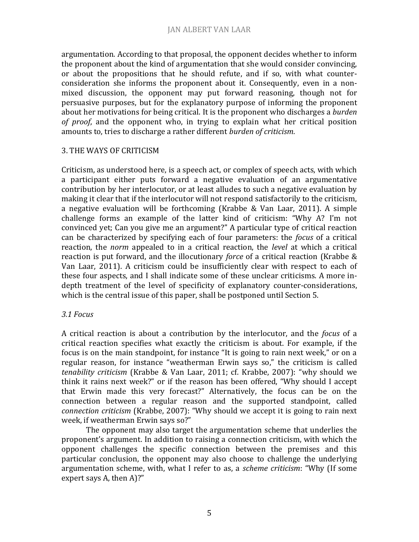argumentation. According to that proposal, the opponent decides whether to inform the proponent about the kind of argumentation that she would consider convincing, or about the propositions that he should refute, and if so, with what counterconsideration she informs the proponent about it. Consequently, even in a nonmixed discussion, the opponent may put forward reasoning, though not for persuasive purposes, but for the explanatory purpose of informing the proponent about her motivations for being critical. It is the proponent who discharges a *burden of proof*, and the opponent who, in trying to explain what her critical position amounts to, tries to discharge a rather different *burden of criticism*.

### 3. THE WAYS OF CRITICISM

Criticism, as understood here, is a speech act, or complex of speech acts, with which a participant either puts forward a negative evaluation of an argumentative contribution by her interlocutor, or at least alludes to such a negative evaluation by making it clear that if the interlocutor will not respond satisfactorily to the criticism, a negative evaluation will be forthcoming (Krabbe & Van Laar, 2011). A simple challenge forms an example of the latter kind of criticism: "Why A? I'm not convinced yet; Can you give me an argument?" A particular type of critical reaction can be characterized by specifying each of four parameters: the *focus* of a critical reaction, the *norm* appealed to in a critical reaction, the *level* at which a critical reaction is put forward, and the illocutionary *force* of a critical reaction (Krabbe & Van Laar, 2011). A criticism could be insufficiently clear with respect to each of these four aspects, and I shall indicate some of these unclear criticisms. A more indepth treatment of the level of specificity of explanatory counter-considerations, which is the central issue of this paper, shall be postponed until Section 5.

#### *3.1 Focus*

A critical reaction is about a contribution by the interlocutor, and the *focus* of a critical reaction specifies what exactly the criticism is about. For example, if the focus is on the main standpoint, for instance "It is going to rain next week," or on a regular reason, for instance "weatherman Erwin says so," the criticism is called *tenability criticism* (Krabbe & Van Laar, 2011; cf. Krabbe, 2007): "why should we think it rains next week?" or if the reason has been offered, "Why should I accept that Erwin made this very forecast?" Alternatively, the focus can be on the connection between a regular reason and the supported standpoint, called *connection criticism* (Krabbe, 2007): "Why should we accept it is going to rain next week, if weatherman Erwin says so?"

The opponent may also target the argumentation scheme that underlies the proponent's argument. In addition to raising a connection criticism, with which the opponent challenges the specific connection between the premises and this particular conclusion, the opponent may also choose to challenge the underlying argumentation scheme, with, what I refer to as, a *scheme criticism*: "Why (If some expert says A, then A)?"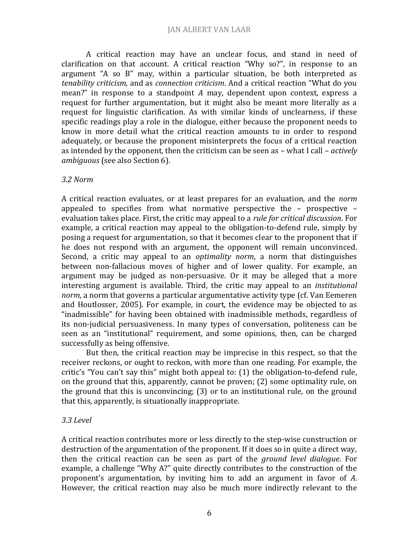A critical reaction may have an unclear focus, and stand in need of clarification on that account. A critical reaction "Why so?", in response to an argument "A so B" may, within a particular situation, be both interpreted as *tenability criticism,* and as *connection criticism*. And a critical reaction "What do you mean?" in response to a standpoint *A* may, dependent upon context, express a request for further argumentation, but it might also be meant more literally as a request for linguistic clarification. As with similar kinds of unclearness, if these specific readings play a role in the dialogue, either because the proponent needs to know in more detail what the critical reaction amounts to in order to respond adequately, or because the proponent misinterprets the focus of a critical reaction as intended by the opponent, then the criticism can be seen as – what I call – *actively ambiguous* (see also Section 6).

#### *3.2 Norm*

A critical reaction evaluates, or at least prepares for an evaluation, and the *norm* appealed to specifies from what normative perspective the – prospective – evaluation takes place. First, the critic may appeal to a *rule for critical discussion*. For example, a critical reaction may appeal to the obligation-to-defend rule, simply by posing a request for argumentation, so that it becomes clear to the proponent that if he does not respond with an argument, the opponent will remain unconvinced. Second, a critic may appeal to an *optimality norm*, a norm that distinguishes between non-fallacious moves of higher and of lower quality. For example, an argument may be judged as non-persuasive. Or it may be alleged that a more interesting argument is available. Third, the critic may appeal to an *institutional norm*, a norm that governs a particular argumentative activity type (cf. Van Eemeren and Houtlosser, 2005). For example, in court, the evidence may be objected to as "inadmissible" for having been obtained with inadmissible methods, regardless of its non-judicial persuasiveness. In many types of conversation, politeness can be seen as an "institutional" requirement, and some opinions, then, can be charged successfully as being offensive.

But then, the critical reaction may be imprecise in this respect, so that the receiver reckons, or ought to reckon, with more than one reading. For example, the critic's "You can't say this" might both appeal to: (1) the obligation-to-defend rule, on the ground that this, apparently, cannot be proven; (2) some optimality rule, on the ground that this is unconvincing; (3) or to an institutional rule, on the ground that this, apparently, is situationally inappropriate.

### *3.3 Level*

A critical reaction contributes more or less directly to the step-wise construction or destruction of the argumentation of the proponent. If it does so in quite a direct way, then the critical reaction can be seen as part of the *ground level dialogue*. For example, a challenge "Why A?" quite directly contributes to the construction of the proponent's argumentation, by inviting him to add an argument in favor of *A*. However, the critical reaction may also be much more indirectly relevant to the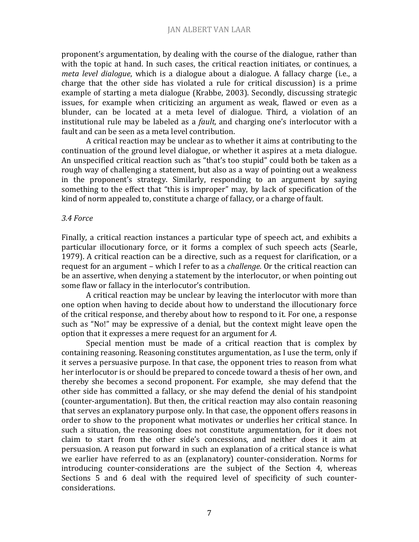proponent's argumentation, by dealing with the course of the dialogue, rather than with the topic at hand. In such cases, the critical reaction initiates, or continues, a *meta level dialogue*, which is a dialogue about a dialogue. A fallacy charge (i.e., a charge that the other side has violated a rule for critical discussion) is a prime example of starting a meta dialogue (Krabbe, 2003). Secondly, discussing strategic issues, for example when criticizing an argument as weak, flawed or even as a blunder, can be located at a meta level of dialogue. Third, a violation of an institutional rule may be labeled as a *fault,* and charging one's interlocutor with a fault and can be seen as a meta level contribution.

A critical reaction may be unclear as to whether it aims at contributing to the continuation of the ground level dialogue, or whether it aspires at a meta dialogue. An unspecified critical reaction such as "that's too stupid" could both be taken as a rough way of challenging a statement, but also as a way of pointing out a weakness in the proponent's strategy. Similarly, responding to an argument by saying something to the effect that "this is improper" may, by lack of specification of the kind of norm appealed to, constitute a charge of fallacy, or a charge of fault.

#### *3.4 Force*

Finally, a critical reaction instances a particular type of speech act, and exhibits a particular illocutionary force, or it forms a complex of such speech acts (Searle, 1979). A critical reaction can be a directive, such as a request for clarification, or a request for an argument – which I refer to as a *challenge*. Or the critical reaction can be an assertive, when denying a statement by the interlocutor, or when pointing out some flaw or fallacy in the interlocutor's contribution.

A critical reaction may be unclear by leaving the interlocutor with more than one option when having to decide about how to understand the illocutionary force of the critical response, and thereby about how to respond to it. For one, a response such as "No!" may be expressive of a denial, but the context might leave open the option that it expresses a mere request for an argument for *A*.

Special mention must be made of a critical reaction that is complex by containing reasoning. Reasoning constitutes argumentation, as I use the term, only if it serves a persuasive purpose. In that case, the opponent tries to reason from what her interlocutor is or should be prepared to concede toward a thesis of her own, and thereby she becomes a second proponent. For example, she may defend that the other side has committed a fallacy, or she may defend the denial of his standpoint (counter-argumentation). But then, the critical reaction may also contain reasoning that serves an explanatory purpose only. In that case, the opponent offers reasons in order to show to the proponent what motivates or underlies her critical stance. In such a situation, the reasoning does not constitute argumentation, for it does not claim to start from the other side's concessions, and neither does it aim at persuasion. A reason put forward in such an explanation of a critical stance is what we earlier have referred to as an (explanatory) counter-consideration. Norms for introducing counter-considerations are the subject of the Section 4, whereas Sections 5 and 6 deal with the required level of specificity of such counterconsiderations.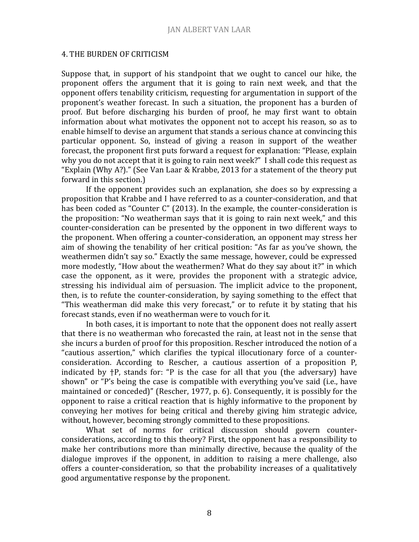#### 4. THE BURDEN OF CRITICISM

Suppose that, in support of his standpoint that we ought to cancel our hike, the proponent offers the argument that it is going to rain next week, and that the opponent offers tenability criticism, requesting for argumentation in support of the proponent's weather forecast. In such a situation, the proponent has a burden of proof. But before discharging his burden of proof, he may first want to obtain information about what motivates the opponent not to accept his reason, so as to enable himself to devise an argument that stands a serious chance at convincing this particular opponent. So, instead of giving a reason in support of the weather forecast, the proponent first puts forward a request for explanation: "Please, explain why you do not accept that it is going to rain next week?" I shall code this request as "Explain (Why A?)." (See Van Laar & Krabbe, 2013 for a statement of the theory put forward in this section.)

If the opponent provides such an explanation, she does so by expressing a proposition that Krabbe and I have referred to as a counter-consideration, and that has been coded as "Counter C" (2013). In the example, the counter-consideration is the proposition: "No weatherman says that it is going to rain next week," and this counter-consideration can be presented by the opponent in two different ways to the proponent. When offering a counter-consideration, an opponent may stress her aim of showing the tenability of her critical position: "As far as you've shown, the weathermen didn't say so." Exactly the same message, however, could be expressed more modestly, "How about the weathermen? What do they say about it?" in which case the opponent, as it were, provides the proponent with a strategic advice, stressing his individual aim of persuasion. The implicit advice to the proponent, then, is to refute the counter-consideration, by saying something to the effect that "This weatherman did make this very forecast," or to refute it by stating that his forecast stands, even if no weatherman were to vouch for it.

In both cases, it is important to note that the opponent does not really assert that there is no weatherman who forecasted the rain, at least not in the sense that she incurs a burden of proof for this proposition. Rescher introduced the notion of a "cautious assertion," which clarifies the typical illocutionary force of a counterconsideration. According to Rescher, a cautious assertion of a proposition P, indicated by †P, stands for: "P is the case for all that you (the adversary) have shown" or "P's being the case is compatible with everything you've said (i.e., have maintained or conceded)" (Rescher, 1977, p. 6). Consequently, it is possibly for the opponent to raise a critical reaction that is highly informative to the proponent by conveying her motives for being critical and thereby giving him strategic advice, without, however, becoming strongly committed to these propositions.

What set of norms for critical discussion should govern counterconsiderations, according to this theory? First, the opponent has a responsibility to make her contributions more than minimally directive, because the quality of the dialogue improves if the opponent, in addition to raising a mere challenge, also offers a counter-consideration, so that the probability increases of a qualitatively good argumentative response by the proponent.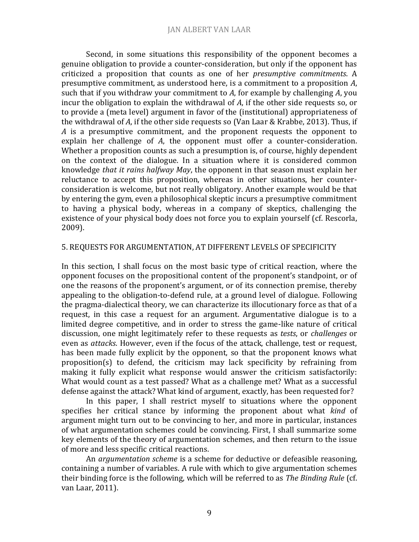Second, in some situations this responsibility of the opponent becomes a genuine obligation to provide a counter-consideration, but only if the opponent has criticized a proposition that counts as one of her *presumptive commitments*. A presumptive commitment, as understood here, is a commitment to a proposition *A*, such that if you withdraw your commitment to *A*, for example by challenging *A*, you incur the obligation to explain the withdrawal of *A*, if the other side requests so, or to provide a (meta level) argument in favor of the (institutional) appropriateness of the withdrawal of *A*, if the other side requests so (Van Laar & Krabbe, 2013). Thus, if *A* is a presumptive commitment, and the proponent requests the opponent to explain her challenge of *A*, the opponent must offer a counter-consideration. Whether a proposition counts as such a presumption is, of course, highly dependent on the context of the dialogue. In a situation where it is considered common knowledge *that it rains halfway May*, the opponent in that season must explain her reluctance to accept this proposition, whereas in other situations, her counterconsideration is welcome, but not really obligatory. Another example would be that by entering the gym, even a philosophical skeptic incurs a presumptive commitment to having a physical body, whereas in a company of skeptics, challenging the existence of your physical body does not force you to explain yourself (cf. Rescorla, 2009).

#### 5. REQUESTS FOR ARGUMENTATION, AT DIFFERENT LEVELS OF SPECIFICITY

In this section, I shall focus on the most basic type of critical reaction, where the opponent focuses on the propositional content of the proponent's standpoint, or of one the reasons of the proponent's argument, or of its connection premise, thereby appealing to the obligation-to-defend rule, at a ground level of dialogue. Following the pragma-dialectical theory, we can characterize its illocutionary force as that of a request, in this case a request for an argument. Argumentative dialogue is to a limited degree competitive, and in order to stress the game-like nature of critical discussion, one might legitimately refer to these requests as *tests*, or *challenges* or even as *attacks*. However, even if the focus of the attack, challenge, test or request, has been made fully explicit by the opponent, so that the proponent knows what proposition(s) to defend, the criticism may lack specificity by refraining from making it fully explicit what response would answer the criticism satisfactorily: What would count as a test passed? What as a challenge met? What as a successful defense against the attack? What kind of argument, exactly, has been requested for?

In this paper, I shall restrict myself to situations where the opponent specifies her critical stance by informing the proponent about what *kind* of argument might turn out to be convincing to her, and more in particular, instances of what argumentation schemes could be convincing. First, I shall summarize some key elements of the theory of argumentation schemes, and then return to the issue of more and less specific critical reactions.

An *argumentation scheme* is a scheme for deductive or defeasible reasoning, containing a number of variables. A rule with which to give argumentation schemes their binding force is the following, which will be referred to as *The Binding Rule* (cf. van Laar, 2011).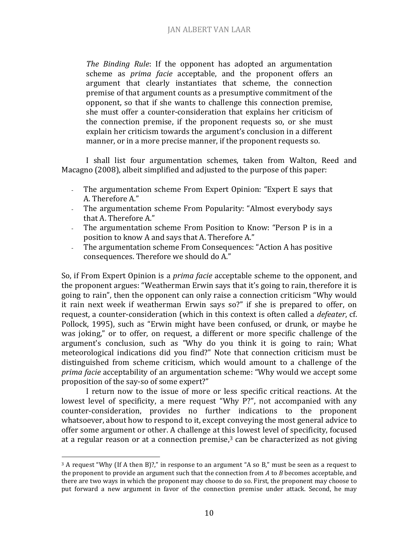*The Binding Rule*: If the opponent has adopted an argumentation scheme as *prima facie* acceptable, and the proponent offers an argument that clearly instantiates that scheme, the connection premise of that argument counts as a presumptive commitment of the opponent, so that if she wants to challenge this connection premise, she must offer a counter-consideration that explains her criticism of the connection premise, if the proponent requests so, or she must explain her criticism towards the argument's conclusion in a different manner, or in a more precise manner, if the proponent requests so.

I shall list four argumentation schemes, taken from Walton, Reed and Macagno (2008), albeit simplified and adjusted to the purpose of this paper:

- The argumentation scheme From Expert Opinion: "Expert E says that A. Therefore A."
- The argumentation scheme From Popularity: "Almost everybody says that A. Therefore A."
- The argumentation scheme From Position to Know: "Person P is in a position to know A and says that A. Therefore A."
- The argumentation scheme From Consequences: "Action A has positive consequences. Therefore we should do A."

So, if From Expert Opinion is a *prima facie* acceptable scheme to the opponent, and the proponent argues: "Weatherman Erwin says that it's going to rain, therefore it is going to rain", then the opponent can only raise a connection criticism "Why would it rain next week if weatherman Erwin says so?" if she is prepared to offer, on request, a counter-consideration (which in this context is often called a *defeater*, cf. Pollock, 1995), such as "Erwin might have been confused, or drunk, or maybe he was joking," or to offer, on request, a different or more specific challenge of the argument's conclusion, such as "Why do you think it is going to rain; What meteorological indications did you find?" Note that connection criticism must be distinguished from scheme criticism, which would amount to a challenge of the *prima facie* acceptability of an argumentation scheme: "Why would we accept some proposition of the say-so of some expert?"

I return now to the issue of more or less specific critical reactions. At the lowest level of specificity, a mere request "Why P?", not accompanied with any counter-consideration, provides no further indications to the proponent whatsoever, about how to respond to it, except conveying the most general advice to offer some argument or other. A challenge at this lowest level of specificity, focused at a regular reason or at a connection premise,<sup>3</sup> can be characterized as not giving

 $\overline{\phantom{a}}$ 

 $3$  A request "Why (If A then B)?," in response to an argument "A so B," must be seen as a request to the proponent to provide an argument such that the connection from *A* to *B* becomes acceptable, and there are two ways in which the proponent may choose to do so. First, the proponent may choose to put forward a new argument in favor of the connection premise under attack. Second, he may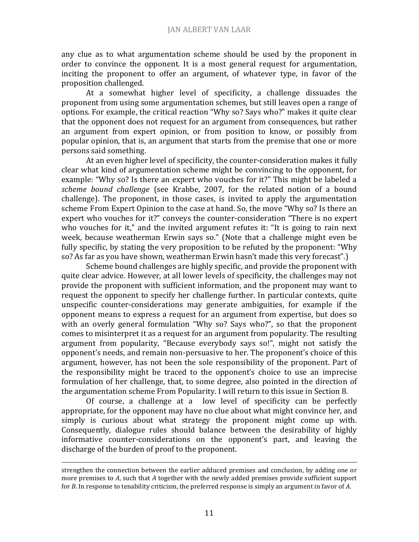any clue as to what argumentation scheme should be used by the proponent in order to convince the opponent. It is a most general request for argumentation, inciting the proponent to offer an argument, of whatever type, in favor of the proposition challenged.

At a somewhat higher level of specificity, a challenge dissuades the proponent from using some argumentation schemes, but still leaves open a range of options. For example, the critical reaction "Why so? Says who?" makes it quite clear that the opponent does not request for an argument from consequences, but rather an argument from expert opinion, or from position to know, or possibly from popular opinion, that is, an argument that starts from the premise that one or more persons said something.

At an even higher level of specificity, the counter-consideration makes it fully clear what kind of argumentation scheme might be convincing to the opponent, for example: "Why so? Is there an expert who vouches for it?" This might be labeled a *scheme bound challenge* (see Krabbe, 2007, for the related notion of a bound challenge). The proponent, in those cases, is invited to apply the argumentation scheme From Expert Opinion to the case at hand. So, the move "Why so? Is there an expert who vouches for it?" conveys the counter-consideration "There is no expert who vouches for it," and the invited argument refutes it: "It is going to rain next week, because weatherman Erwin says so." (Note that a challenge might even be fully specific, by stating the very proposition to be refuted by the proponent: "Why so? As far as you have shown, weatherman Erwin hasn't made this very forecast".)

Scheme bound challenges are highly specific, and provide the proponent with quite clear advice. However, at all lower levels of specificity, the challenges may not provide the proponent with sufficient information, and the proponent may want to request the opponent to specify her challenge further. In particular contexts, quite unspecific counter-considerations may generate ambiguities, for example if the opponent means to express a request for an argument from expertise, but does so with an overly general formulation "Why so? Says who?", so that the proponent comes to misinterpret it as a request for an argument from popularity. The resulting argument from popularity, "Because everybody says so!", might not satisfy the opponent's needs, and remain non-persuasive to her. The proponent's choice of this argument, however, has not been the sole responsibility of the proponent. Part of the responsibility might be traced to the opponent's choice to use an imprecise formulation of her challenge, that, to some degree, also pointed in the direction of the argumentation scheme From Popularity. I will return to this issue in Section 8.

Of course, a challenge at a low level of specificity can be perfectly appropriate, for the opponent may have no clue about what might convince her, and simply is curious about what strategy the proponent might come up with. Consequently, dialogue rules should balance between the desirability of highly informative counter-considerations on the opponent's part, and leaving the discharge of the burden of proof to the proponent.

 $\overline{\phantom{a}}$ 

strengthen the connection between the earlier adduced premises and conclusion, by adding one or more premises to *A*, such that *A* together with the newly added premises provide sufficient support for *B*. In response to tenability criticism, the preferred response is simply an argument in favor of *A*.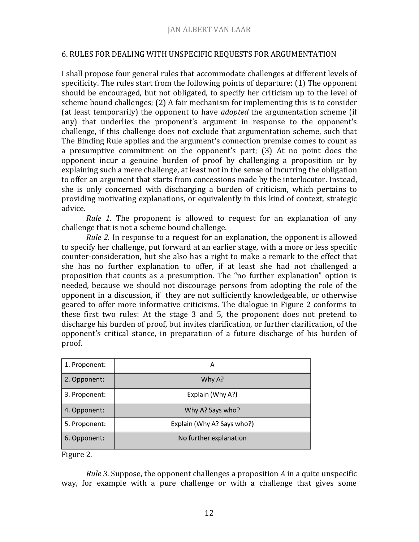#### 6. RULES FOR DEALING WITH UNSPECIFIC REQUESTS FOR ARGUMENTATION

I shall propose four general rules that accommodate challenges at different levels of specificity. The rules start from the following points of departure: (1) The opponent should be encouraged, but not obligated, to specify her criticism up to the level of scheme bound challenges; (2) A fair mechanism for implementing this is to consider (at least temporarily) the opponent to have *adopted* the argumentation scheme (if any) that underlies the proponent's argument in response to the opponent's challenge, if this challenge does not exclude that argumentation scheme, such that The Binding Rule applies and the argument's connection premise comes to count as a presumptive commitment on the opponent's part; (3) At no point does the opponent incur a genuine burden of proof by challenging a proposition or by explaining such a mere challenge, at least not in the sense of incurring the obligation to offer an argument that starts from concessions made by the interlocutor. Instead, she is only concerned with discharging a burden of criticism, which pertains to providing motivating explanations, or equivalently in this kind of context, strategic advice.

*Rule 1*. The proponent is allowed to request for an explanation of any challenge that is not a scheme bound challenge.

*Rule 2.* In response to a request for an explanation, the opponent is allowed to specify her challenge, put forward at an earlier stage, with a more or less specific counter-consideration, but she also has a right to make a remark to the effect that she has no further explanation to offer, if at least she had not challenged a proposition that counts as a presumption. The "no further explanation" option is needed, because we should not discourage persons from adopting the role of the opponent in a discussion, if they are not sufficiently knowledgeable, or otherwise geared to offer more informative criticisms. The dialogue in Figure 2 conforms to these first two rules: At the stage 3 and 5, the proponent does not pretend to discharge his burden of proof, but invites clarification, or further clarification, of the opponent's critical stance, in preparation of a future discharge of his burden of proof.

| 1. Proponent: | А                          |  |
|---------------|----------------------------|--|
| 2. Opponent:  | Why A?                     |  |
| 3. Proponent: | Explain (Why A?)           |  |
| 4. Opponent:  | Why A? Says who?           |  |
| 5. Proponent: | Explain (Why A? Says who?) |  |
| 6. Opponent:  | No further explanation     |  |

Figure 2.

*Rule 3*. Suppose, the opponent challenges a proposition *A* in a quite unspecific way, for example with a pure challenge or with a challenge that gives some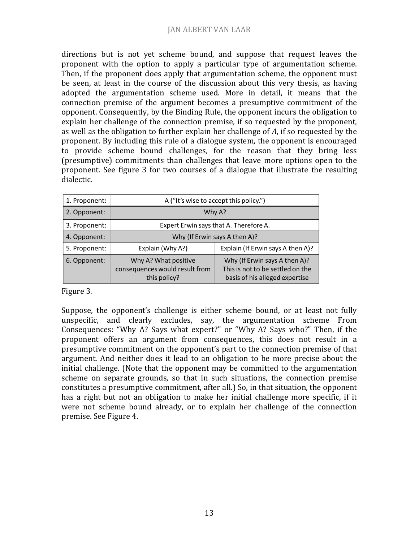directions but is not yet scheme bound, and suppose that request leaves the proponent with the option to apply a particular type of argumentation scheme. Then, if the proponent does apply that argumentation scheme, the opponent must be seen, at least in the course of the discussion about this very thesis, as having adopted the argumentation scheme used. More in detail, it means that the connection premise of the argument becomes a presumptive commitment of the opponent. Consequently, by the Binding Rule, the opponent incurs the obligation to explain her challenge of the connection premise, if so requested by the proponent, as well as the obligation to further explain her challenge of *A*, if so requested by the proponent. By including this rule of a dialogue system, the opponent is encouraged to provide scheme bound challenges, for the reason that they bring less (presumptive) commitments than challenges that leave more options open to the proponent. See figure 3 for two courses of a dialogue that illustrate the resulting dialectic.

| 1. Proponent: | A ("It's wise to accept this policy.")                                 |                                                                                                     |
|---------------|------------------------------------------------------------------------|-----------------------------------------------------------------------------------------------------|
| 2. Opponent:  | Why A?                                                                 |                                                                                                     |
| 3. Proponent: | Expert Erwin says that A. Therefore A.                                 |                                                                                                     |
| 4. Opponent:  | Why (If Erwin says A then A)?                                          |                                                                                                     |
| 5. Proponent: | Explain (Why A?)                                                       | Explain (If Erwin says A then A)?                                                                   |
| 6. Opponent:  | Why A? What positive<br>consequences would result from<br>this policy? | Why (If Erwin says A then A)?<br>This is not to be settled on the<br>basis of his alleged expertise |

Figure 3.

Suppose, the opponent's challenge is either scheme bound, or at least not fully unspecific, and clearly excludes, say, the argumentation scheme From Consequences: "Why A? Says what expert?" or "Why A? Says who?" Then, if the proponent offers an argument from consequences, this does not result in a presumptive commitment on the opponent's part to the connection premise of that argument. And neither does it lead to an obligation to be more precise about the initial challenge. (Note that the opponent may be committed to the argumentation scheme on separate grounds, so that in such situations, the connection premise constitutes a presumptive commitment, after all.) So, in that situation, the opponent has a right but not an obligation to make her initial challenge more specific, if it were not scheme bound already, or to explain her challenge of the connection premise. See Figure 4.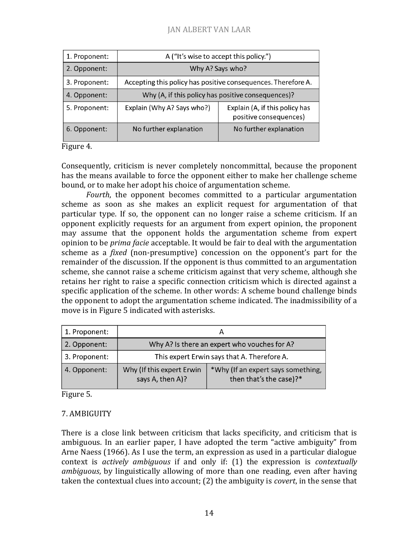## JAN ALBERT VAN LAAR

| 1. Proponent: | A ("It's wise to accept this policy.")                        |                                                          |
|---------------|---------------------------------------------------------------|----------------------------------------------------------|
| 2. Opponent:  | Why A? Says who?                                              |                                                          |
| 3. Proponent: | Accepting this policy has positive consequences. Therefore A. |                                                          |
| 4. Opponent:  | Why (A, if this policy has positive consequences)?            |                                                          |
| 5. Proponent: | Explain (Why A? Says who?)                                    | Explain (A, if this policy has<br>positive consequences) |
| 6. Opponent:  | No further explanation                                        | No further explanation                                   |

#### Figure 4.

Consequently, criticism is never completely noncommittal, because the proponent has the means available to force the opponent either to make her challenge scheme bound, or to make her adopt his choice of argumentation scheme.

*Fourth*, the opponent becomes committed to a particular argumentation scheme as soon as she makes an explicit request for argumentation of that particular type. If so, the opponent can no longer raise a scheme criticism. If an opponent explicitly requests for an argument from expert opinion, the proponent may assume that the opponent holds the argumentation scheme from expert opinion to be *prima facie* acceptable. It would be fair to deal with the argumentation scheme as a *fixed* (non-presumptive) concession on the opponent's part for the remainder of the discussion. If the opponent is thus committed to an argumentation scheme, she cannot raise a scheme criticism against that very scheme, although she retains her right to raise a specific connection criticism which is directed against a specific application of the scheme. In other words: A scheme bound challenge binds the opponent to adopt the argumentation scheme indicated. The inadmissibility of a move is in Figure 5 indicated with asterisks.

| 1. Proponent: |                                               |                                                               |  |
|---------------|-----------------------------------------------|---------------------------------------------------------------|--|
| 2. Opponent:  | Why A? Is there an expert who vouches for A?  |                                                               |  |
| 3. Proponent: | This expert Erwin says that A. Therefore A.   |                                                               |  |
| 4. Opponent:  | Why (If this expert Erwin<br>says A, then A)? | *Why (If an expert says something,<br>then that's the case)?* |  |

Figure 5.

## 7. AMBIGUITY

There is a close link between criticism that lacks specificity, and criticism that is ambiguous. In an earlier paper, I have adopted the term "active ambiguity" from Arne Naess (1966). As I use the term, an expression as used in a particular dialogue context is *actively ambiguous* if and only if: (1) the expression is *contextually ambiguous*, by linguistically allowing of more than one reading, even after having taken the contextual clues into account; (2) the ambiguity is *covert*, in the sense that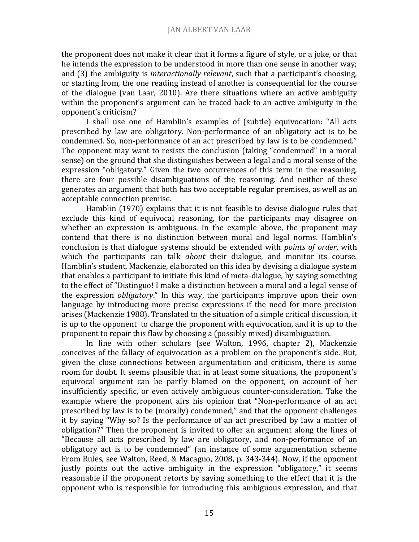the proponent does not make it clear that it forms a figure of style, or a joke, or that he intends the expression to be understood in more than one sense in another way; and (3) the ambiguity is *interactionally relevant*, such that a participant's choosing, or starting from, the one reading instead of another is consequential for the course of the dialogue (van Laar, 2010). Are there situations where an active ambiguity within the proponent's argument can be traced back to an active ambiguity in the opponent's criticism?

I shall use one of Hamblin's examples of (subtle) equivocation: "All acts prescribed by law are obligatory. Non-performance of an obligatory act is to be condemned. So, non-performance of an act prescribed by law is to be condemned." The opponent may want to resists the conclusion (taking "condemned" in a moral sense) on the ground that she distinguishes between a legal and a moral sense of the expression "obligatory." Given the two occurrences of this term in the reasoning, there are four possible disambiguations of the reasoning. And neither of these generates an argument that both has two acceptable regular premises, as well as an acceptable connection premise.

Hamblin (1970) explains that it is not feasible to devise dialogue rules that exclude this kind of equivocal reasoning, for the participants may disagree on whether an expression is ambiguous. In the example above, the proponent may contend that there is no distinction between moral and legal norms. Hamblin's conclusion is that dialogue systems should be extended with *points of order*, with which the participants can talk *about* their dialogue, and monitor its course. Hamblin's student, Mackenzie, elaborated on this idea by devising a dialogue system that enables a participant to initiate this kind of meta-dialogue, by saying something to the effect of "Distinguo! I make a distinction between a moral and a legal sense of the expression *obligatory*." In this way, the participants improve upon their own language by introducing more precise expressions if the need for more precision arises (Mackenzie 1988). Translated to the situation of a simple critical discussion, it is up to the opponent to charge the proponent with equivocation, and it is up to the proponent to repair this flaw by choosing a (possibly mixed) disambiguation.

In line with other scholars (see Walton, 1996, chapter 2), Mackenzie conceives of the fallacy of equivocation as a problem on the proponent's side. But, given the close connections between argumentation and criticism, there is some room for doubt. It seems plausible that in at least some situations, the proponent's equivocal argument can be partly blamed on the opponent, on account of her insufficiently specific, or even actively ambiguous counter-consideration. Take the example where the proponent airs his opinion that "Non-performance of an act prescribed by law is to be (morally) condemned," and that the opponent challenges it by saying "Why so? Is the performance of an act prescribed by law a matter of obligation?" Then the proponent is invited to offer an argument along the lines of "Because all acts prescribed by law are obligatory, and non-performance of an obligatory act is to be condemned" (an instance of some argumentation scheme From Rules, see Walton, Reed, & Macagno, 2008, p. 343-344). Now, if the opponent justly points out the active ambiguity in the expression "obligatory," it seems reasonable if the proponent retorts by saying something to the effect that it is the opponent who is responsible for introducing this ambiguous expression, and that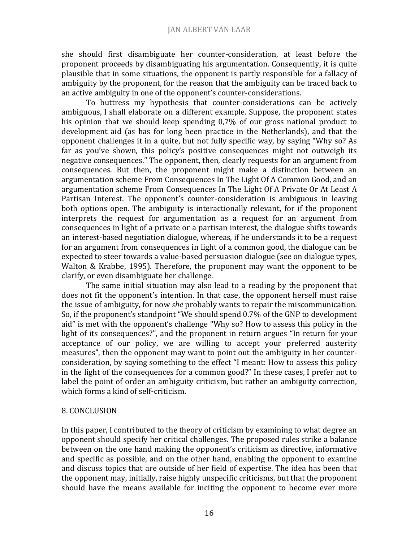she should first disambiguate her counter-consideration, at least before the proponent proceeds by disambiguating his argumentation. Consequently, it is quite plausible that in some situations, the opponent is partly responsible for a fallacy of ambiguity by the proponent, for the reason that the ambiguity can be traced back to an active ambiguity in one of the opponent's counter-considerations.

To buttress my hypothesis that counter-considerations can be actively ambiguous, I shall elaborate on a different example. Suppose, the proponent states his opinion that we should keep spending 0,7% of our gross national product to development aid (as has for long been practice in the Netherlands), and that the opponent challenges it in a quite, but not fully specific way, by saying "Why so? As far as you've shown, this policy's positive consequences might not outweigh its negative consequences." The opponent, then, clearly requests for an argument from consequences. But then, the proponent might make a distinction between an argumentation scheme From Consequences In The Light Of A Common Good, and an argumentation scheme From Consequences In The Light Of A Private Or At Least A Partisan Interest. The opponent's counter-consideration is ambiguous in leaving both options open. The ambiguity is interactionally relevant, for if the proponent interprets the request for argumentation as a request for an argument from consequences in light of a private or a partisan interest, the dialogue shifts towards an interest-based negotiation dialogue, whereas, if he understands it to be a request for an argument from consequences in light of a common good, the dialogue can be expected to steer towards a value-based persuasion dialogue (see on dialogue types, Walton & Krabbe, 1995). Therefore, the proponent may want the opponent to be clarify, or even disambiguate her challenge.

The same initial situation may also lead to a reading by the proponent that does not fit the opponent's intention. In that case, the opponent herself must raise the issue of ambiguity, for now *she* probably wants to repair the miscommunication. So, if the proponent's standpoint "We should spend 0.7% of the GNP to development aid" is met with the opponent's challenge "Why so? How to assess this policy in the light of its consequences?", and the proponent in return argues "In return for your acceptance of our policy, we are willing to accept your preferred austerity measures", then the opponent may want to point out the ambiguity in her counterconsideration, by saying something to the effect "I meant: How to assess this policy in the light of the consequences for a common good?" In these cases, I prefer not to label the point of order an ambiguity criticism, but rather an ambiguity correction, which forms a kind of self-criticism.

### 8. CONCLUSION

In this paper, I contributed to the theory of criticism by examining to what degree an opponent should specify her critical challenges. The proposed rules strike a balance between on the one hand making the opponent's criticism as directive, informative and specific as possible, and on the other hand, enabling the opponent to examine and discuss topics that are outside of her field of expertise. The idea has been that the opponent may, initially, raise highly unspecific criticisms, but that the proponent should have the means available for inciting the opponent to become ever more